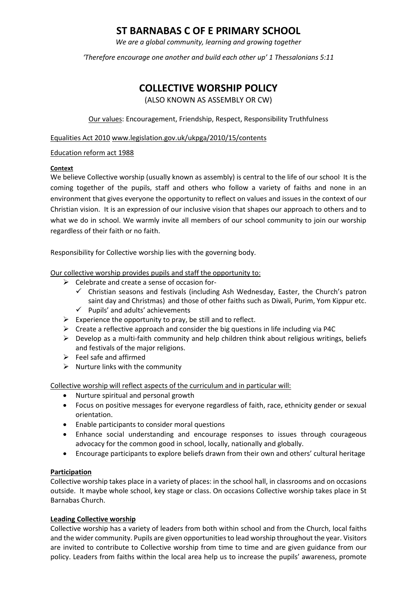## **ST BARNABAS C OF E PRIMARY SCHOOL**

*We are a global community, learning and growing together*

*'Therefore encourage one another and build each other up' 1 Thessalonians 5:11*

# **COLLECTIVE WORSHIP POLICY**

(ALSO KNOWN AS ASSEMBLY OR CW)

Our values: Encouragement, Friendship, Respect, Responsibility Truthfulness

## Equalities Act 2010 [www.legislation.gov.uk/ukpga/2010/15/contents](http://www.legislation.gov.uk/ukpga/2010/15/contents)

## Education reform act 1988

#### **Context**

We believe Collective worship (usually known as assembly) is central to the life of our school. It is the coming together of the pupils, staff and others who follow a variety of faiths and none in an environment that gives everyone the opportunity to reflect on values and issues in the context of our Christian vision. It is an expression of our inclusive vision that shapes our approach to others and to what we do in school. We warmly invite all members of our school community to join our worship regardless of their faith or no faith.

Responsibility for Collective worship lies with the governing body.

Our collective worship provides pupils and staff the opportunity to:

- $\triangleright$  Celebrate and create a sense of occasion for-
	- $\checkmark$  Christian seasons and festivals (including Ash Wednesday, Easter, the Church's patron saint day and Christmas) and those of other faiths such as Diwali, Purim, Yom Kippur etc.
	- $\checkmark$  Pupils' and adults' achievements
- $\triangleright$  Experience the opportunity to pray, be still and to reflect.
- $\triangleright$  Create a reflective approach and consider the big questions in life including via P4C
- $\triangleright$  Develop as a multi-faith community and help children think about religious writings, beliefs and festivals of the major religions.
- $\triangleright$  Feel safe and affirmed
- $\triangleright$  Nurture links with the community

Collective worship will reflect aspects of the curriculum and in particular will:

- Nurture spiritual and personal growth
- Focus on positive messages for everyone regardless of faith, race, ethnicity gender or sexual orientation.
- Enable participants to consider moral questions
- Enhance social understanding and encourage responses to issues through courageous advocacy for the common good in school, locally, nationally and globally.
- Encourage participants to explore beliefs drawn from their own and others' cultural heritage

## **Participation**

Collective worship takes place in a variety of places: in the school hall, in classrooms and on occasions outside. It maybe whole school, key stage or class. On occasions Collective worship takes place in St Barnabas Church.

## **Leading Collective worship**

Collective worship has a variety of leaders from both within school and from the Church, local faiths and the wider community. Pupils are given opportunities to lead worship throughout the year. Visitors are invited to contribute to Collective worship from time to time and are given guidance from our policy. Leaders from faiths within the local area help us to increase the pupils' awareness, promote